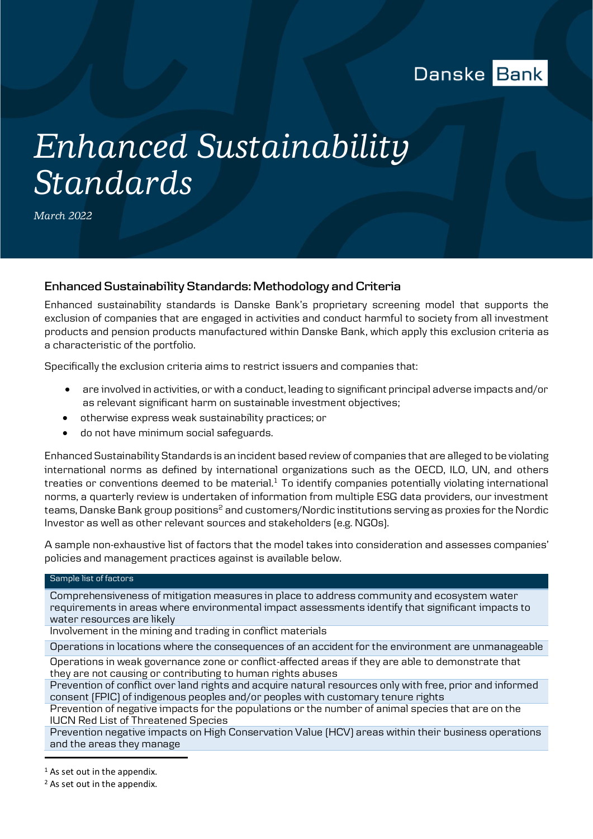

## *Enhanced Sustainability Standards*

*March 2022*

## **Enhanced Sustainability Standards: Methodology and Criteria**

Enhanced sustainability standards is Danske Bank's proprietary screening model that supports the exclusion of companies that are engaged in activities and conduct harmful to society from all investment products and pension products manufactured within Danske Bank, which apply this exclusion criteria as a characteristic of the portfolio.

Specifically the exclusion criteria aims to restrict issuers and companies that:

- are involved in activities, or with a conduct, leading to significant principal adverse impacts and/or as relevant significant harm on sustainable investment objectives;
- otherwise express weak sustainability practices; or
- do not have minimum social safeguards.

Enhanced Sustainability Standards is an incident based review of companies that are alleged to be violating international norms as defined by international organizations such as the OECD, ILO, UN, and others treaties or conventions deemed to be material. $1$  To identify companies potentially violating international norms, a quarterly review is undertaken of information from multiple ESG data providers, our investment teams, Danske Bank group positions<sup>2</sup> and customers/Nordic institutions serving as proxies for the Nordic Investor as well as other relevant sources and stakeholders (e.g. NGOs).

A sample non-exhaustive list of factors that the model takes into consideration and assesses companies' policies and management practices against is available below.

## Sample list of factors

Comprehensiveness of mitigation measures in place to address community and ecosystem water requirements in areas where environmental impact assessments identify that significant impacts to water resources are likely

Involvement in the mining and trading in conflict materials

Operations in locations where the consequences of an accident for the environment are unmanageable

Operations in weak governance zone or conflict-affected areas if they are able to demonstrate that they are not causing or contributing to human rights abuses

Prevention of conflict over land rights and acquire natural resources only with free, prior and informed consent (FPIC) of indigenous peoples and/or peoples with customary tenure rights

Prevention of negative impacts for the populations or the number of animal species that are on the IUCN Red List of Threatened Species

Prevention negative impacts on High Conservation Value (HCV) areas within their business operations and the areas they manage

ֺ

<sup>&</sup>lt;sup>1</sup> As set out in the appendix.

<sup>2</sup> As set out in the appendix.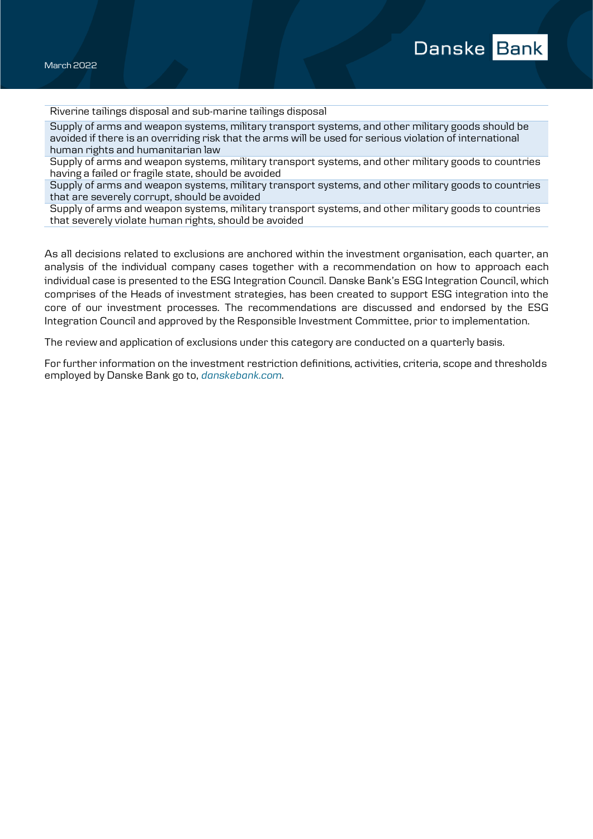Riverine tailings disposal and sub-marine tailings disposal

Supply of arms and weapon systems, military transport systems, and other military goods should be avoided if there is an overriding risk that the arms will be used for serious violation of international human rights and humanitarian law

Supply of arms and weapon systems, military transport systems, and other military goods to countries having a failed or fragile state, should be avoided

Supply of arms and weapon systems, military transport systems, and other military goods to countries that are severely corrupt, should be avoided

Supply of arms and weapon systems, military transport systems, and other military goods to countries that severely violate human rights, should be avoided

As all decisions related to exclusions are anchored within the investment organisation, each quarter, an analysis of the individual company cases together with a recommendation on how to approach each individual case is presented to the ESG Integration Council. Danske Bank's ESG Integration Council, which comprises of the Heads of investment strategies, has been created to support ESG integration into the core of our investment processes. The recommendations are discussed and endorsed by the ESG Integration Council and approved by the Responsible Investment Committee, prior to implementation.

The review and application of exclusions under this category are conducted on a quarterly basis.

For further information on the investment restriction definitions, activities, criteria, scope and thresholds employed by Danske Bank go to, *danskebank.com*.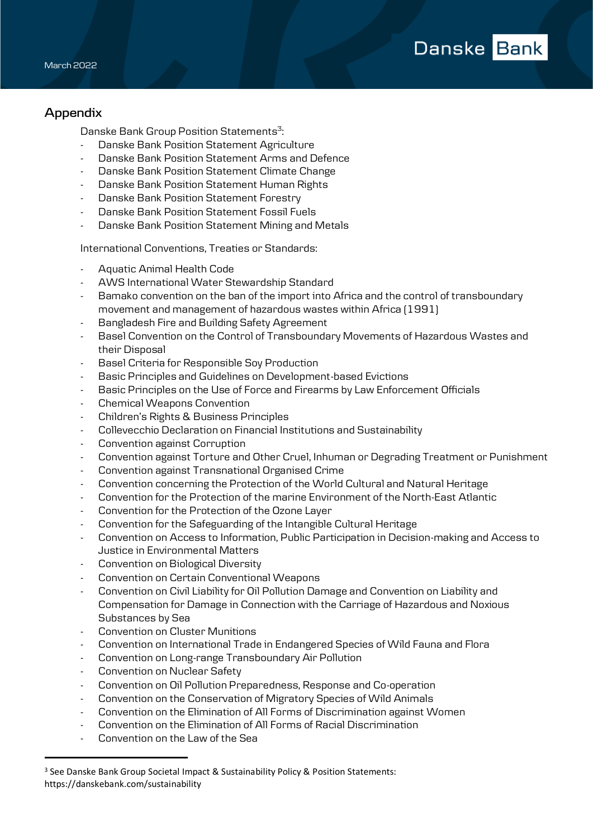## **Appendix**

Danske Bank Group Position Statements<sup>3</sup>: :

- Danske Bank Position Statement Agriculture
- Danske Bank Position Statement Arms and Defence
- Danske Bank Position Statement Climate Change
- Danske Bank Position Statement Human Rights
- Danske Bank Position Statement Forestry
- Danske Bank Position Statement Fossil Fuels
- Danske Bank Position Statement Mining and Metals

International Conventions, Treaties or Standards:

- Aquatic Animal Health Code
- AWS International Water Stewardship Standard
- Bamako convention on the ban of the import into Africa and the control of transboundary movement and management of hazardous wastes within Africa (1991)
- Bangladesh Fire and Building Safety Agreement
- Basel Convention on the Control of Transboundary Movements of Hazardous Wastes and their Disposal
- Basel Criteria for Responsible Soy Production
- Basic Principles and Guidelines on Development-based Evictions
- Basic Principles on the Use of Force and Firearms by Law Enforcement Officials
- Chemical Weapons Convention
- Children's Rights & Business Principles
- Collevecchio Declaration on Financial Institutions and Sustainability
- Convention against Corruption
- Convention against Torture and Other Cruel, Inhuman or Degrading Treatment or Punishment
- Convention against Transnational Organised Crime
- Convention concerning the Protection of the World Cultural and Natural Heritage
- Convention for the Protection of the marine Environment of the North-East Atlantic
- Convention for the Protection of the Ozone Layer
- Convention for the Safeguarding of the Intangible Cultural Heritage
- Convention on Access to Information, Public Participation in Decision-making and Access to Justice in Environmental Matters
- Convention on Biological Diversity
- Convention on Certain Conventional Weapons
- Convention on Civil Liability for Oil Pollution Damage and Convention on Liability and Compensation for Damage in Connection with the Carriage of Hazardous and Noxious Substances by Sea
- Convention on Cluster Munitions
- Convention on International Trade in Endangered Species of Wild Fauna and Flora
- Convention on Long-range Transboundary Air Pollution
- Convention on Nuclear Safety
- Convention on Oil Pollution Preparedness, Response and Co-operation
- Convention on the Conservation of Migratory Species of Wild Animals
- Convention on the Elimination of All Forms of Discrimination against Women
- Convention on the Elimination of All Forms of Racial Discrimination
- Convention on the Law of the Sea

ֺ

<sup>3</sup> See Danske Bank Group Societal Impact & Sustainability Policy & Position Statements: https://danskebank.com/sustainability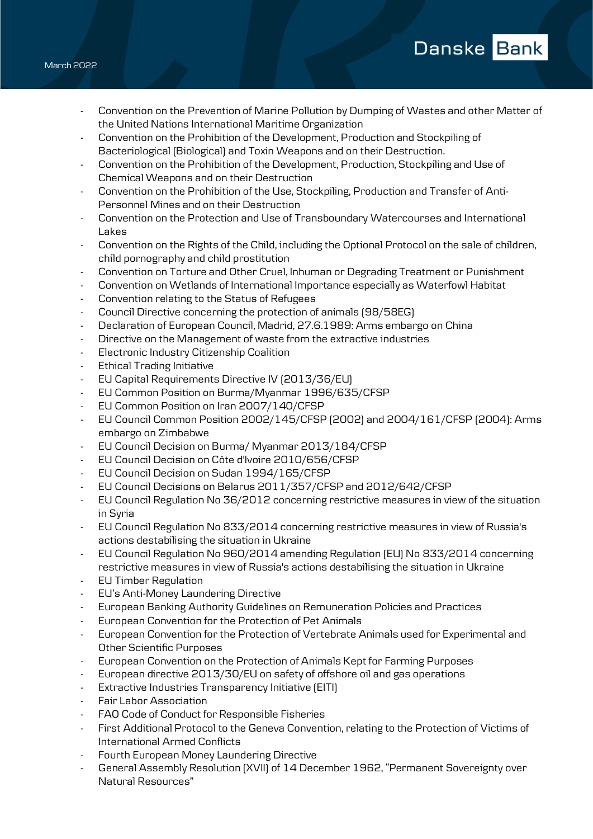- Convention on the Prevention of Marine Pollution by Dumping of Wastes and other Matter of the United Nations International Maritime Organization
- Convention on the Prohibition of the Development, Production and Stockpiling of Bacteriological (Biological) and Toxin Weapons and on their Destruction.
- Convention on the Prohibition of the Development, Production, Stockpiling and Use of Chemical Weapons and on their Destruction
- Convention on the Prohibition of the Use, Stockpiling, Production and Transfer of Anti-Personnel Mines and on their Destruction
- Convention on the Protection and Use of Transboundary Watercourses and International Lakes
- Convention on the Rights of the Child, including the Optional Protocol on the sale of children, child pornography and child prostitution
- Convention on Torture and Other Cruel, Inhuman or Degrading Treatment or Punishment
- Convention on Wetlands of International Importance especially as Waterfowl Habitat
- Convention relating to the Status of Refugees
- Council Directive concerning the protection of animals (98/58EG)
- Declaration of European Council, Madrid, 27.6.1989: Arms embargo on China
- Directive on the Management of waste from the extractive industries
- Electronic Industry Citizenship Coalition
- Ethical Trading Initiative
- EU Capital Requirements Directive IV (2013/36/EU)
- EU Common Position on Burma/Myanmar 1996/635/CFSP
- EU Common Position on Iran 2007/140/CFSP
- EU Council Common Position 2002/145/CFSP (2002) and 2004/161/CFSP (2004): Arms embargo on Zimbabwe
- EU Council Decision on Burma/ Myanmar 2013/184/CFSP
- EU Council Decision on Côte d'Ivoire 2010/656/CFSP
- EU Council Decision on Sudan 1994/165/CFSP
- EU Council Decisions on Belarus 2011/357/CFSP and 2012/642/CFSP
- EU Council Regulation No 36/2012 concerning restrictive measures in view of the situation in Syria
- EU Council Regulation No 833/2014 concerning restrictive measures in view of Russia's actions destabilising the situation in Ukraine
- EU Council Regulation No 960/2014 amending Regulation (EU) No 833/2014 concerning restrictive measures in view of Russia's actions destabilising the situation in Ukraine
- EU Timber Regulation
- EU's Anti-Money Laundering Directive
- European Banking Authority Guidelines on Remuneration Policies and Practices
- European Convention for the Protection of Pet Animals
- European Convention for the Protection of Vertebrate Animals used for Experimental and Other Scientific Purposes
- European Convention on the Protection of Animals Kept for Farming Purposes
- European directive 2013/30/EU on safety of offshore oil and gas operations
- Extractive Industries Transparency Initiative (EITI)
- Fair Labor Association
- FAO Code of Conduct for Responsible Fisheries
- First Additional Protocol to the Geneva Convention, relating to the Protection of Victims of International Armed Conflicts
- Fourth European Money Laundering Directive
- General Assembly Resolution (XVII) of 14 December 1962, "Permanent Sovereignty over Natural Resources"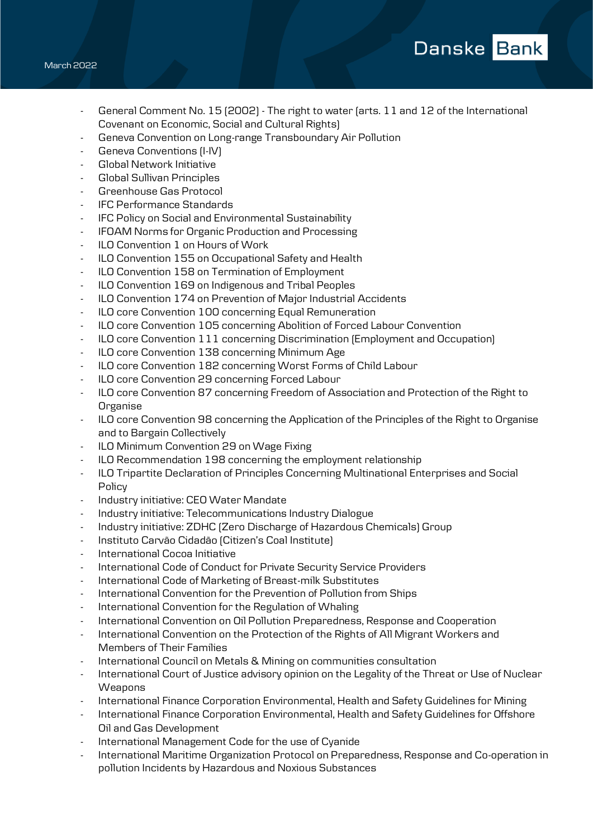- General Comment No. 15 (2002) The right to water (arts. 11 and 12 of the International Covenant on Economic, Social and Cultural Rights)
- Geneva Convention on Long-range Transboundary Air Pollution
- Geneva Conventions (I-IV)
- Global Network Initiative
- Global Sullivan Principles
- Greenhouse Gas Protocol
- IFC Performance Standards
- IFC Policy on Social and Environmental Sustainability
- IFOAM Norms for Organic Production and Processing
- ILO Convention 1 on Hours of Work
- ILO Convention 155 on Occupational Safety and Health
- ILO Convention 158 on Termination of Employment
- ILO Convention 169 on Indigenous and Tribal Peoples
- ILO Convention 174 on Prevention of Major Industrial Accidents
- ILO core Convention 100 concerning Equal Remuneration
- ILO core Convention 105 concerning Abolition of Forced Labour Convention
- ILO core Convention 111 concerning Discrimination (Employment and Occupation)
- ILO core Convention 138 concerning Minimum Age
- ILO core Convention 182 concerning Worst Forms of Child Labour
- ILO core Convention 29 concerning Forced Labour
- ILO core Convention 87 concerning Freedom of Association and Protection of the Right to Organise
- ILO core Convention 98 concerning the Application of the Principles of the Right to Organise and to Bargain Collectively
- ILO Minimum Convention 29 on Wage Fixing
- ILO Recommendation 198 concerning the employment relationship
- ILO Tripartite Declaration of Principles Concerning Multinational Enterprises and Social Policy
- Industry initiative: CEO Water Mandate
- Industry initiative: Telecommunications Industry Dialogue
- Industry initiative: ZDHC (Zero Discharge of Hazardous Chemicals) Group
- Instituto Carvão Cidadão (Citizen's Coal Institute)
- International Cocoa Initiative
- International Code of Conduct for Private Security Service Providers
- International Code of Marketing of Breast-milk Substitutes
- International Convention for the Prevention of Pollution from Ships
- International Convention for the Regulation of Whaling
- International Convention on Oil Pollution Preparedness, Response and Cooperation
- International Convention on the Protection of the Rights of All Migrant Workers and Members of Their Families
- International Council on Metals & Mining on communities consultation
- International Court of Justice advisory opinion on the Legality of the Threat or Use of Nuclear **Weapons**
- International Finance Corporation Environmental, Health and Safety Guidelines for Mining
- International Finance Corporation Environmental, Health and Safety Guidelines for Offshore Oil and Gas Development
- International Management Code for the use of Cyanide
- International Maritime Organization Protocol on Preparedness, Response and Co-operation in pollution Incidents by Hazardous and Noxious Substances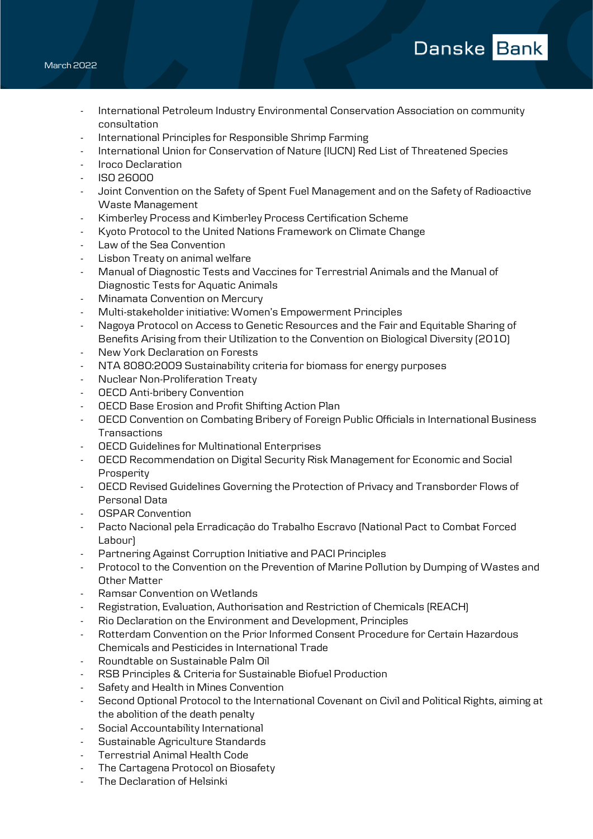- International Petroleum Industry Environmental Conservation Association on community consultation

Danske Bank

- International Principles for Responsible Shrimp Farming
- International Union for Conservation of Nature (IUCN) Red List of Threatened Species
- Iroco Declaration
- ISO 26000
- Joint Convention on the Safety of Spent Fuel Management and on the Safety of Radioactive Waste Management
- Kimberley Process and Kimberley Process Certification Scheme
- Kyoto Protocol to the United Nations Framework on Climate Change
- Law of the Sea Convention
- Lisbon Treaty on animal welfare
- Manual of Diagnostic Tests and Vaccines for Terrestrial Animals and the Manual of Diagnostic Tests for Aquatic Animals
- Minamata Convention on Mercury
- Multi-stakeholder initiative: Women's Empowerment Principles
- Nagoya Protocol on Access to Genetic Resources and the Fair and Equitable Sharing of Benefits Arising from their Utilization to the Convention on Biological Diversity (2010)
- New York Declaration on Forests
- NTA 8080:2009 Sustainability criteria for biomass for energy purposes
- Nuclear Non-Proliferation Treaty
- OECD Anti-bribery Convention
- OECD Base Erosion and Profit Shifting Action Plan
- OECD Convention on Combating Bribery of Foreign Public Officials in International Business **Transactions**
- OECD Guidelines for Multinational Enterprises
- OECD Recommendation on Digital Security Risk Management for Economic and Social Prosperity
- OECD Revised Guidelines Governing the Protection of Privacy and Transborder Flows of Personal Data
- OSPAR Convention
- Pacto Nacional pela Erradicação do Trabalho Escravo (National Pact to Combat Forced Labour)
- Partnering Against Corruption Initiative and PACI Principles
- Protocol to the Convention on the Prevention of Marine Pollution by Dumping of Wastes and Other Matter
- Ramsar Convention on Wetlands
- Registration, Evaluation, Authorisation and Restriction of Chemicals (REACH)
- Rio Declaration on the Environment and Development, Principles
- Rotterdam Convention on the Prior Informed Consent Procedure for Certain Hazardous Chemicals and Pesticides in International Trade
- Roundtable on Sustainable Palm Oil
- RSB Principles & Criteria for Sustainable Biofuel Production
- Safety and Health in Mines Convention
- Second Optional Protocol to the International Covenant on Civil and Political Rights, aiming at the abolition of the death penalty
- Social Accountability International
- Sustainable Agriculture Standards
- Terrestrial Animal Health Code
- The Cartagena Protocol on Biosafety
- The Declaration of Helsinki